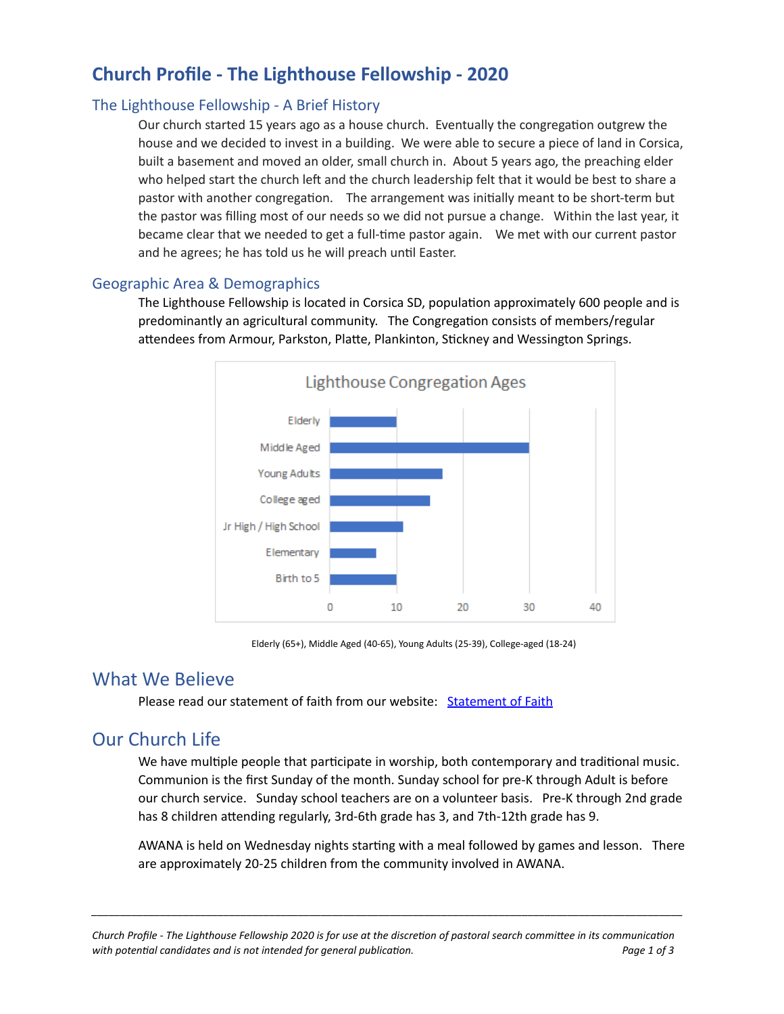# **Church Profile - The Lighthouse Fellowship - 2020**

### The Lighthouse Fellowship - A Brief History

Our church started 15 years ago as a house church. Eventually the congregation outgrew the house and we decided to invest in a building. We were able to secure a piece of land in Corsica, built a basement and moved an older, small church in. About 5 years ago, the preaching elder who helped start the church left and the church leadership felt that it would be best to share a pastor with another congregation. The arrangement was initially meant to be short-term but the pastor was filling most of our needs so we did not pursue a change. Within the last year, it became clear that we needed to get a full-time pastor again. We met with our current pastor and he agrees; he has told us he will preach until Easter.

#### Geographic Area & Demographics

The Lighthouse Fellowship is located in Corsica SD, population approximately 600 people and is predominantly an agricultural community. The Congregation consists of members/regular attendees from Armour, Parkston, Platte, Plankinton, Stickney and Wessington Springs.



Elderly (65+), Middle Aged (40-65), Young Adults (25-39), College-aged (18-24)

### What We Believe

Please read our statement of faith from our website: [Statement](https://thelighthousecorsica.org/statement_of_faith) of Faith

## Our Church Life

We have multiple people that participate in worship, both contemporary and traditional music. Communion is the first Sunday of the month. Sunday school for pre-K through Adult is before our church service. Sunday school teachers are on a volunteer basis. Pre-K through 2nd grade has 8 children attending regularly, 3rd-6th grade has 3, and 7th-12th grade has 9.

AWANA is held on Wednesday nights starting with a meal followed by games and lesson. There are approximately 20-25 children from the community involved in AWANA.

*\_\_\_\_\_\_\_\_\_\_\_\_\_\_\_\_\_\_\_\_\_\_\_\_\_\_\_\_\_\_\_\_\_\_\_\_\_\_\_\_\_\_\_\_\_\_\_\_\_\_\_\_\_\_\_\_\_\_\_\_\_\_\_\_\_\_\_\_\_\_\_\_\_\_\_\_\_\_\_\_\_\_\_\_\_\_\_\_\_\_\_\_\_\_\_\_\_\_\_\_\_\_\_*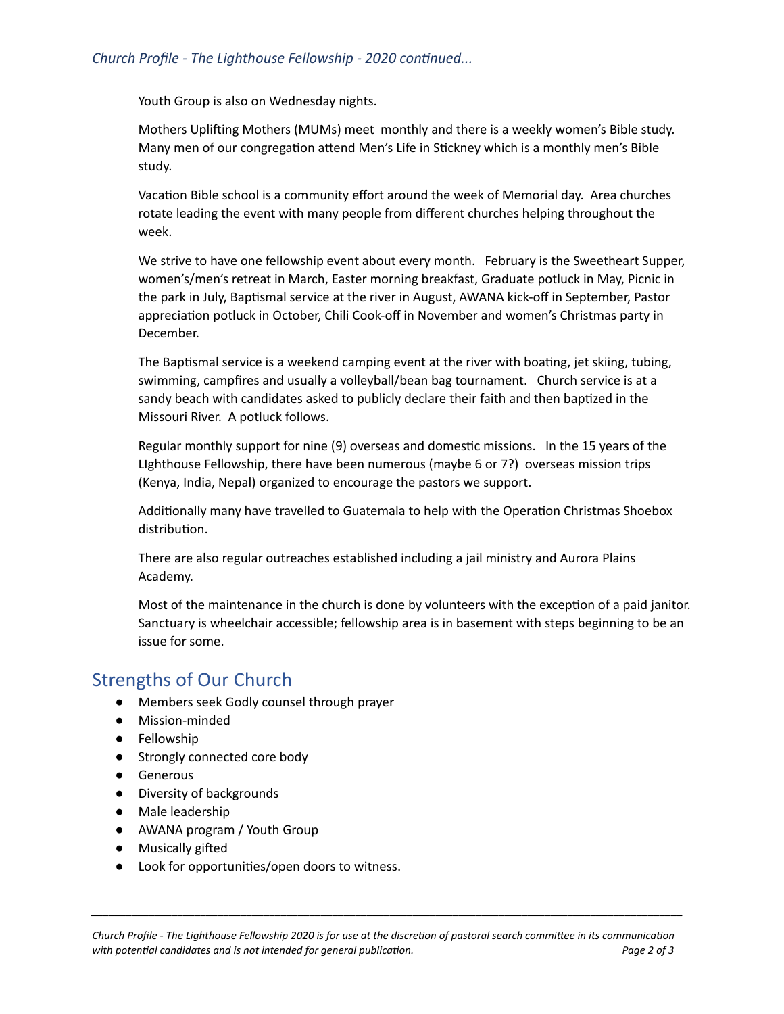#### *Church Profile - The Lighthouse Fellowship - 2020 continued...*

Youth Group is also on Wednesday nights.

Mothers Uplifting Mothers (MUMs) meet monthly and there is a weekly women's Bible study. Many men of our congregation attend Men's Life in Stickney which is a monthly men's Bible study.

Vacation Bible school is a community effort around the week of Memorial day. Area churches rotate leading the event with many people from different churches helping throughout the week.

We strive to have one fellowship event about every month. February is the Sweetheart Supper, women's/men's retreat in March, Easter morning breakfast, Graduate potluck in May, Picnic in the park in July, Baptismal service at the river in August, AWANA kick-off in September, Pastor appreciation potluck in October, Chili Cook-off in November and women's Christmas party in December.

The Baptismal service is a weekend camping event at the river with boating, jet skiing, tubing, swimming, campfires and usually a volleyball/bean bag tournament. Church service is at a sandy beach with candidates asked to publicly declare their faith and then baptized in the Missouri River. A potluck follows.

Regular monthly support for nine (9) overseas and domestic missions. In the 15 years of the LIghthouse Fellowship, there have been numerous (maybe 6 or 7?) overseas mission trips (Kenya, India, Nepal) organized to encourage the pastors we support.

Additionally many have travelled to Guatemala to help with the Operation Christmas Shoebox distribution.

There are also regular outreaches established including a jail ministry and Aurora Plains Academy.

Most of the maintenance in the church is done by volunteers with the exception of a paid janitor. Sanctuary is wheelchair accessible; fellowship area is in basement with steps beginning to be an issue for some.

## Strengths of Our Church

- Members seek Godly counsel through prayer
- Mission-minded
- Fellowship
- Strongly connected core body
- Generous
- Diversity of backgrounds
- Male leadership
- AWANA program / Youth Group
- $\bullet$  Musically gifted
- Look for opportunities/open doors to witness.

*\_\_\_\_\_\_\_\_\_\_\_\_\_\_\_\_\_\_\_\_\_\_\_\_\_\_\_\_\_\_\_\_\_\_\_\_\_\_\_\_\_\_\_\_\_\_\_\_\_\_\_\_\_\_\_\_\_\_\_\_\_\_\_\_\_\_\_\_\_\_\_\_\_\_\_\_\_\_\_\_\_\_\_\_\_\_\_\_\_\_\_\_\_\_\_\_\_\_\_\_\_\_\_*